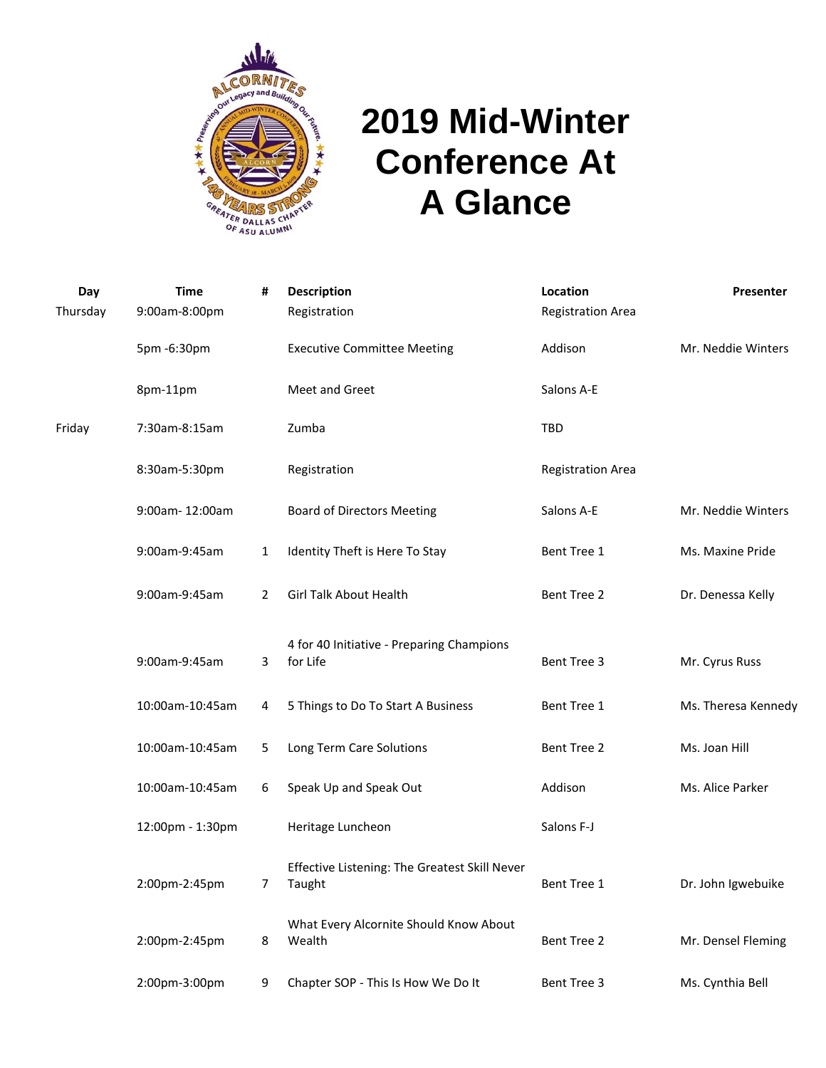

## **2019 Mid-Winter Conference At A Glance**

| Day      | <b>Time</b>      | #              | <b>Description</b>                                      | Location                 | Presenter           |
|----------|------------------|----------------|---------------------------------------------------------|--------------------------|---------------------|
| Thursday | 9:00am-8:00pm    |                | Registration                                            | <b>Registration Area</b> |                     |
|          | 5pm -6:30pm      |                | <b>Executive Committee Meeting</b>                      | Addison                  | Mr. Neddie Winters  |
|          | 8pm-11pm         |                | Meet and Greet                                          | Salons A-E               |                     |
| Friday   | 7:30am-8:15am    |                | Zumba                                                   | <b>TBD</b>               |                     |
|          | 8:30am-5:30pm    |                | Registration                                            | <b>Registration Area</b> |                     |
|          | 9:00am-12:00am   |                | <b>Board of Directors Meeting</b>                       | Salons A-E               | Mr. Neddie Winters  |
|          | 9:00am-9:45am    | $\mathbf{1}$   | Identity Theft is Here To Stay                          | Bent Tree 1              | Ms. Maxine Pride    |
|          | 9:00am-9:45am    | $\overline{2}$ | <b>Girl Talk About Health</b>                           | Bent Tree 2              | Dr. Denessa Kelly   |
|          | 9:00am-9:45am    | 3              | 4 for 40 Initiative - Preparing Champions<br>for Life   | Bent Tree 3              | Mr. Cyrus Russ      |
|          | 10:00am-10:45am  | 4              | 5 Things to Do To Start A Business                      | Bent Tree 1              | Ms. Theresa Kennedy |
|          | 10:00am-10:45am  | 5              | Long Term Care Solutions                                | Bent Tree 2              | Ms. Joan Hill       |
|          | 10:00am-10:45am  | 6              | Speak Up and Speak Out                                  | Addison                  | Ms. Alice Parker    |
|          | 12:00pm - 1:30pm |                | Heritage Luncheon                                       | Salons F-J               |                     |
|          | 2:00pm-2:45pm    | 7              | Effective Listening: The Greatest Skill Never<br>Taught | Bent Tree 1              | Dr. John Igwebuike  |
|          | 2:00pm-2:45pm    | 8              | What Every Alcornite Should Know About<br>Wealth        | Bent Tree 2              | Mr. Densel Fleming  |
|          | 2:00pm-3:00pm    | 9              | Chapter SOP - This Is How We Do It                      | Bent Tree 3              | Ms. Cynthia Bell    |